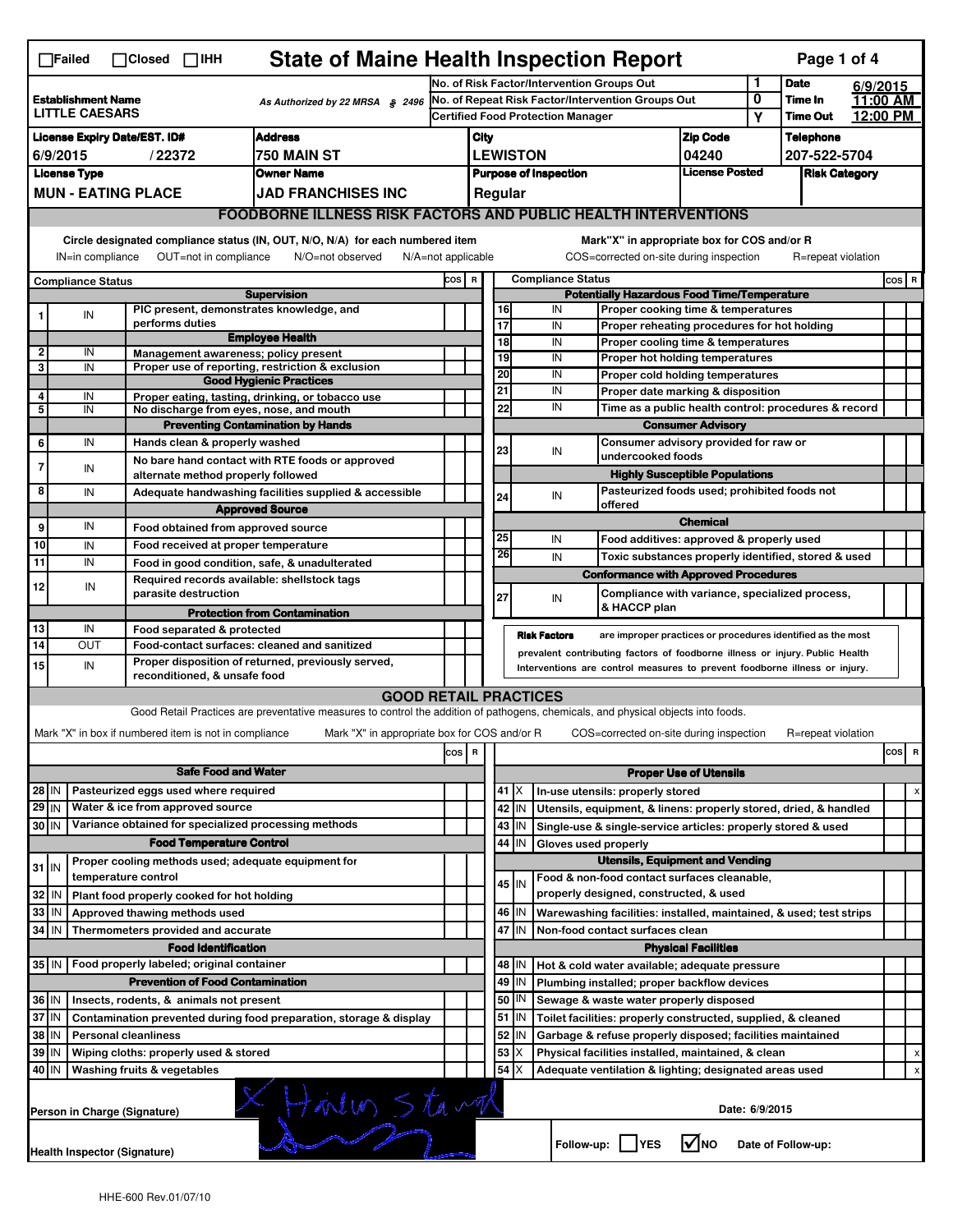| <b>State of Maine Health Inspection Report</b><br>Page 1 of 4<br>$\Box$ Failed<br>$\Box$ Closed $\Box$ IHH                                               |                                                                                        |                               |                                                       |                                                                                                                                   |                                                                            |                                                                                         |                                                                                                                                        |       |                                                                  |                                                                                           |                 |         |                                  |            |                                |
|----------------------------------------------------------------------------------------------------------------------------------------------------------|----------------------------------------------------------------------------------------|-------------------------------|-------------------------------------------------------|-----------------------------------------------------------------------------------------------------------------------------------|----------------------------------------------------------------------------|-----------------------------------------------------------------------------------------|----------------------------------------------------------------------------------------------------------------------------------------|-------|------------------------------------------------------------------|-------------------------------------------------------------------------------------------|-----------------|---------|----------------------------------|------------|--------------------------------|
|                                                                                                                                                          |                                                                                        |                               | No. of Risk Factor/Intervention Groups Out            |                                                                                                                                   |                                                                            |                                                                                         |                                                                                                                                        |       | 1                                                                | <b>Date</b>                                                                               | 6/9/2015        |         |                                  |            |                                |
| <b>Establishment Name</b><br>As Authorized by 22 MRSA \$2496<br><b>LITTLE CAESARS</b>                                                                    |                                                                                        |                               |                                                       | No. of Repeat Risk Factor/Intervention Groups Out                                                                                 |                                                                            |                                                                                         |                                                                                                                                        |       |                                                                  |                                                                                           | 0               | Time In |                                  | 11:00 AM   |                                |
|                                                                                                                                                          |                                                                                        |                               |                                                       |                                                                                                                                   | Certified Food Protection Manager                                          |                                                                                         |                                                                                                                                        |       |                                                                  |                                                                                           |                 | Y       | <b>Time Out</b>                  |            | 12:00 PM                       |
| <b>Address</b><br><b>License Expiry Date/EST. ID#</b><br>6/9/2015<br>750 MAIN ST<br>/22372                                                               |                                                                                        |                               |                                                       |                                                                                                                                   |                                                                            | <b>Zip Code</b><br>City                                                                 |                                                                                                                                        |       |                                                                  |                                                                                           |                 |         | <b>Telephone</b><br>207-522-5704 |            |                                |
| <b>License Type</b><br><b>Owner Name</b>                                                                                                                 |                                                                                        |                               |                                                       |                                                                                                                                   |                                                                            | <b>LEWISTON</b><br>04240<br><b>License Posted</b>                                       |                                                                                                                                        |       |                                                                  |                                                                                           |                 |         |                                  |            |                                |
| <b>MUN - EATING PLACE</b><br><b>JAD FRANCHISES INC</b>                                                                                                   |                                                                                        |                               |                                                       |                                                                                                                                   |                                                                            | <b>Purpose of Inspection</b><br><b>Risk Category</b><br>Regular                         |                                                                                                                                        |       |                                                                  |                                                                                           |                 |         |                                  |            |                                |
| <b>FOODBORNE ILLNESS RISK FACTORS AND PUBLIC HEALTH INTERVENTIONS</b>                                                                                    |                                                                                        |                               |                                                       |                                                                                                                                   |                                                                            |                                                                                         |                                                                                                                                        |       |                                                                  |                                                                                           |                 |         |                                  |            |                                |
| Circle designated compliance status (IN, OUT, N/O, N/A) for each numbered item<br>Mark"X" in appropriate box for COS and/or R                            |                                                                                        |                               |                                                       |                                                                                                                                   |                                                                            |                                                                                         |                                                                                                                                        |       |                                                                  |                                                                                           |                 |         |                                  |            |                                |
| IN=in compliance<br>OUT=not in compliance<br>N/O=not observed<br>COS=corrected on-site during inspection<br>$N/A = not$ applicable<br>R=repeat violation |                                                                                        |                               |                                                       |                                                                                                                                   |                                                                            |                                                                                         |                                                                                                                                        |       |                                                                  |                                                                                           |                 |         |                                  |            |                                |
| <b>Compliance Status</b>                                                                                                                                 |                                                                                        |                               |                                                       |                                                                                                                                   |                                                                            | <b>Compliance Status</b><br>COS R<br><b>Potentially Hazardous Food Time/Temperature</b> |                                                                                                                                        |       |                                                                  |                                                                                           |                 |         |                                  | $\cos   R$ |                                |
| <b>Supervision</b><br>PIC present, demonstrates knowledge, and<br>IN                                                                                     |                                                                                        |                               |                                                       |                                                                                                                                   | 16<br>IN<br>Proper cooking time & temperatures                             |                                                                                         |                                                                                                                                        |       |                                                                  |                                                                                           |                 |         |                                  |            |                                |
| 1                                                                                                                                                        |                                                                                        |                               | performs duties                                       |                                                                                                                                   |                                                                            |                                                                                         | $\overline{17}$                                                                                                                        |       | IN                                                               | Proper reheating procedures for hot holding                                               |                 |         |                                  |            |                                |
| $\overline{\mathbf{2}}$                                                                                                                                  | IN                                                                                     |                               |                                                       | <b>Employee Health</b><br>Management awareness; policy present                                                                    |                                                                            |                                                                                         | 18                                                                                                                                     |       | IN                                                               | Proper cooling time & temperatures                                                        |                 |         |                                  |            |                                |
| 3                                                                                                                                                        | IN                                                                                     |                               |                                                       | Proper use of reporting, restriction & exclusion                                                                                  |                                                                            |                                                                                         | 19<br>20                                                                                                                               |       | IN<br>IN                                                         | Proper hot holding temperatures                                                           |                 |         |                                  |            |                                |
|                                                                                                                                                          |                                                                                        |                               |                                                       | <b>Good Hygienic Practices</b>                                                                                                    |                                                                            |                                                                                         | 21                                                                                                                                     |       | IN                                                               | Proper cold holding temperatures                                                          |                 |         |                                  |            |                                |
| $\overline{4}$<br>5                                                                                                                                      | IN<br>IN                                                                               |                               |                                                       | Proper eating, tasting, drinking, or tobacco use<br>No discharge from eyes, nose, and mouth                                       |                                                                            |                                                                                         | 22                                                                                                                                     |       | IN                                                               | Proper date marking & disposition<br>Time as a public health control: procedures & record |                 |         |                                  |            |                                |
|                                                                                                                                                          |                                                                                        |                               |                                                       | <b>Preventing Contamination by Hands</b>                                                                                          |                                                                            |                                                                                         |                                                                                                                                        |       |                                                                  | <b>Consumer Advisory</b>                                                                  |                 |         |                                  |            |                                |
| 6                                                                                                                                                        | IN                                                                                     |                               | Hands clean & properly washed                         |                                                                                                                                   |                                                                            |                                                                                         |                                                                                                                                        |       |                                                                  | Consumer advisory provided for raw or                                                     |                 |         |                                  |            |                                |
| $\overline{7}$                                                                                                                                           | IN                                                                                     |                               |                                                       | No bare hand contact with RTE foods or approved                                                                                   |                                                                            |                                                                                         | 23                                                                                                                                     |       | IN                                                               | undercooked foods                                                                         |                 |         |                                  |            |                                |
|                                                                                                                                                          |                                                                                        |                               | alternate method properly followed                    |                                                                                                                                   |                                                                            |                                                                                         |                                                                                                                                        |       |                                                                  | <b>Highly Susceptible Populations</b>                                                     |                 |         |                                  |            |                                |
| 8                                                                                                                                                        | IN                                                                                     |                               |                                                       | Adequate handwashing facilities supplied & accessible                                                                             |                                                                            |                                                                                         | 24                                                                                                                                     |       | IN                                                               | Pasteurized foods used; prohibited foods not<br>offered                                   |                 |         |                                  |            |                                |
| 9                                                                                                                                                        | IN                                                                                     |                               |                                                       | <b>Approved Source</b>                                                                                                            |                                                                            |                                                                                         |                                                                                                                                        |       |                                                                  |                                                                                           | <b>Chemical</b> |         |                                  |            |                                |
| 10                                                                                                                                                       |                                                                                        |                               | Food obtained from approved source                    |                                                                                                                                   |                                                                            |                                                                                         | 25                                                                                                                                     |       | IN                                                               | Food additives: approved & properly used                                                  |                 |         |                                  |            |                                |
| 11                                                                                                                                                       | IN<br>IN                                                                               |                               | Food received at proper temperature                   | Food in good condition, safe, & unadulterated                                                                                     |                                                                            |                                                                                         | 26                                                                                                                                     |       | IN                                                               | Toxic substances properly identified, stored & used                                       |                 |         |                                  |            |                                |
|                                                                                                                                                          |                                                                                        |                               |                                                       | Required records available: shellstock tags                                                                                       |                                                                            |                                                                                         |                                                                                                                                        |       |                                                                  | <b>Conformance with Approved Procedures</b>                                               |                 |         |                                  |            |                                |
| 12                                                                                                                                                       | IN                                                                                     |                               | parasite destruction                                  |                                                                                                                                   |                                                                            |                                                                                         | 27                                                                                                                                     |       | IN                                                               | Compliance with variance, specialized process,                                            |                 |         |                                  |            |                                |
|                                                                                                                                                          |                                                                                        |                               |                                                       | <b>Protection from Contamination</b>                                                                                              |                                                                            |                                                                                         |                                                                                                                                        |       |                                                                  | & HACCP plan                                                                              |                 |         |                                  |            |                                |
| 13                                                                                                                                                       | IN                                                                                     |                               | Food separated & protected                            |                                                                                                                                   |                                                                            |                                                                                         |                                                                                                                                        |       | <b>Risk Factors</b>                                              | are improper practices or procedures identified as the most                               |                 |         |                                  |            |                                |
| 14                                                                                                                                                       | <b>OUT</b>                                                                             |                               |                                                       | Food-contact surfaces: cleaned and sanitized<br>Proper disposition of returned, previously served,                                |                                                                            |                                                                                         | prevalent contributing factors of foodborne illness or injury. Public Health                                                           |       |                                                                  |                                                                                           |                 |         |                                  |            |                                |
| 15                                                                                                                                                       | IN                                                                                     |                               | reconditioned, & unsafe food                          |                                                                                                                                   | Interventions are control measures to prevent foodborne illness or injury. |                                                                                         |                                                                                                                                        |       |                                                                  |                                                                                           |                 |         |                                  |            |                                |
|                                                                                                                                                          |                                                                                        |                               |                                                       | <b>GOOD RETAIL PRACTICES</b>                                                                                                      |                                                                            |                                                                                         |                                                                                                                                        |       |                                                                  |                                                                                           |                 |         |                                  |            |                                |
|                                                                                                                                                          |                                                                                        |                               |                                                       | Good Retail Practices are preventative measures to control the addition of pathogens, chemicals, and physical objects into foods. |                                                                            |                                                                                         |                                                                                                                                        |       |                                                                  |                                                                                           |                 |         |                                  |            |                                |
|                                                                                                                                                          |                                                                                        |                               | Mark "X" in box if numbered item is not in compliance | Mark "X" in appropriate box for COS and/or R                                                                                      |                                                                            |                                                                                         |                                                                                                                                        |       |                                                                  | COS=corrected on-site during inspection                                                   |                 |         | R=repeat violation               |            |                                |
|                                                                                                                                                          |                                                                                        |                               |                                                       |                                                                                                                                   | cos R                                                                      |                                                                                         |                                                                                                                                        |       |                                                                  |                                                                                           |                 |         |                                  |            | cos<br>$\overline{\mathbf{R}}$ |
|                                                                                                                                                          |                                                                                        |                               | <b>Safe Food and Water</b>                            |                                                                                                                                   |                                                                            |                                                                                         | <b>Proper Use of Utensils</b>                                                                                                          |       |                                                                  |                                                                                           |                 |         |                                  |            |                                |
| Pasteurized eggs used where required<br>28 IN                                                                                                            |                                                                                        |                               |                                                       |                                                                                                                                   |                                                                            |                                                                                         | 41                                                                                                                                     | IΧ    |                                                                  | In-use utensils: properly stored                                                          |                 |         |                                  |            | х                              |
| $29$ IN<br>Water & ice from approved source                                                                                                              |                                                                                        |                               |                                                       |                                                                                                                                   |                                                                            | 42                                                                                      | İΙN                                                                                                                                    |       | Utensils, equipment, & linens: properly stored, dried, & handled |                                                                                           |                 |         |                                  |            |                                |
| Variance obtained for specialized processing methods<br>30 IN                                                                                            |                                                                                        |                               |                                                       |                                                                                                                                   |                                                                            | 43                                                                                      | IN.                                                                                                                                    |       | Single-use & single-service articles: properly stored & used     |                                                                                           |                 |         |                                  |            |                                |
| <b>Food Temperature Control</b>                                                                                                                          |                                                                                        |                               |                                                       |                                                                                                                                   |                                                                            |                                                                                         | IN<br>44<br>Gloves used properly<br><b>Utensils, Equipment and Vending</b>                                                             |       |                                                                  |                                                                                           |                 |         |                                  |            |                                |
|                                                                                                                                                          | Proper cooling methods used; adequate equipment for<br>$31$ IN<br>temperature control  |                               |                                                       |                                                                                                                                   |                                                                            |                                                                                         |                                                                                                                                        |       |                                                                  | Food & non-food contact surfaces cleanable,                                               |                 |         |                                  |            |                                |
| 32 IN                                                                                                                                                    |                                                                                        |                               | Plant food properly cooked for hot holding            |                                                                                                                                   |                                                                            |                                                                                         |                                                                                                                                        | 45 IN |                                                                  | properly designed, constructed, & used                                                    |                 |         |                                  |            |                                |
| 33                                                                                                                                                       | l IN                                                                                   | Approved thawing methods used |                                                       |                                                                                                                                   |                                                                            |                                                                                         | 46                                                                                                                                     | IN.   |                                                                  | Warewashing facilities: installed, maintained, & used; test strips                        |                 |         |                                  |            |                                |
| $34$ IN                                                                                                                                                  |                                                                                        |                               | Thermometers provided and accurate                    |                                                                                                                                   |                                                                            |                                                                                         | 47<br>IN.<br>Non-food contact surfaces clean                                                                                           |       |                                                                  |                                                                                           |                 |         |                                  |            |                                |
|                                                                                                                                                          | <b>Food Identification</b><br><b>Physical Facilities</b>                               |                               |                                                       |                                                                                                                                   |                                                                            |                                                                                         |                                                                                                                                        |       |                                                                  |                                                                                           |                 |         |                                  |            |                                |
| 35   IN<br>Food properly labeled; original container<br>48<br>ΙM<br>Hot & cold water available; adequate pressure                                        |                                                                                        |                               |                                                       |                                                                                                                                   |                                                                            |                                                                                         |                                                                                                                                        |       |                                                                  |                                                                                           |                 |         |                                  |            |                                |
| <b>Prevention of Food Contamination</b>                                                                                                                  |                                                                                        |                               |                                                       |                                                                                                                                   |                                                                            |                                                                                         | IN.<br>49<br>Plumbing installed; proper backflow devices                                                                               |       |                                                                  |                                                                                           |                 |         |                                  |            |                                |
| 36 IN<br>Insects, rodents, & animals not present                                                                                                         |                                                                                        |                               |                                                       |                                                                                                                                   |                                                                            |                                                                                         | 50<br>IN<br>Sewage & waste water properly disposed                                                                                     |       |                                                                  |                                                                                           |                 |         |                                  |            |                                |
| 37 IN<br>Contamination prevented during food preparation, storage & display<br>38 IN<br><b>Personal cleanliness</b>                                      |                                                                                        |                               |                                                       |                                                                                                                                   |                                                                            |                                                                                         | 51<br>ΙM<br>Toilet facilities: properly constructed, supplied, & cleaned                                                               |       |                                                                  |                                                                                           |                 |         |                                  |            |                                |
| 39 IN<br>Wiping cloths: properly used & stored                                                                                                           |                                                                                        |                               |                                                       |                                                                                                                                   |                                                                            |                                                                                         | 52<br>ΙM<br>Garbage & refuse properly disposed; facilities maintained<br>53<br>х<br>Physical facilities installed, maintained, & clean |       |                                                                  |                                                                                           |                 |         | x                                |            |                                |
| 40 IN<br><b>Washing fruits &amp; vegetables</b>                                                                                                          |                                                                                        |                               |                                                       |                                                                                                                                   |                                                                            |                                                                                         | 54                                                                                                                                     |       |                                                                  | Adequate ventilation & lighting; designated areas used                                    |                 |         |                                  |            | Χ                              |
|                                                                                                                                                          |                                                                                        |                               |                                                       |                                                                                                                                   |                                                                            |                                                                                         |                                                                                                                                        |       |                                                                  |                                                                                           |                 |         |                                  |            |                                |
|                                                                                                                                                          | Horlin Stand<br>Date: 6/9/2015<br>Person in Charge (Signature)                         |                               |                                                       |                                                                                                                                   |                                                                            |                                                                                         |                                                                                                                                        |       |                                                                  |                                                                                           |                 |         |                                  |            |                                |
|                                                                                                                                                          | √мо<br>Follow-up:     YES<br>Date of Follow-up:<br><b>Health Inspector (Signature)</b> |                               |                                                       |                                                                                                                                   |                                                                            |                                                                                         |                                                                                                                                        |       |                                                                  |                                                                                           |                 |         |                                  |            |                                |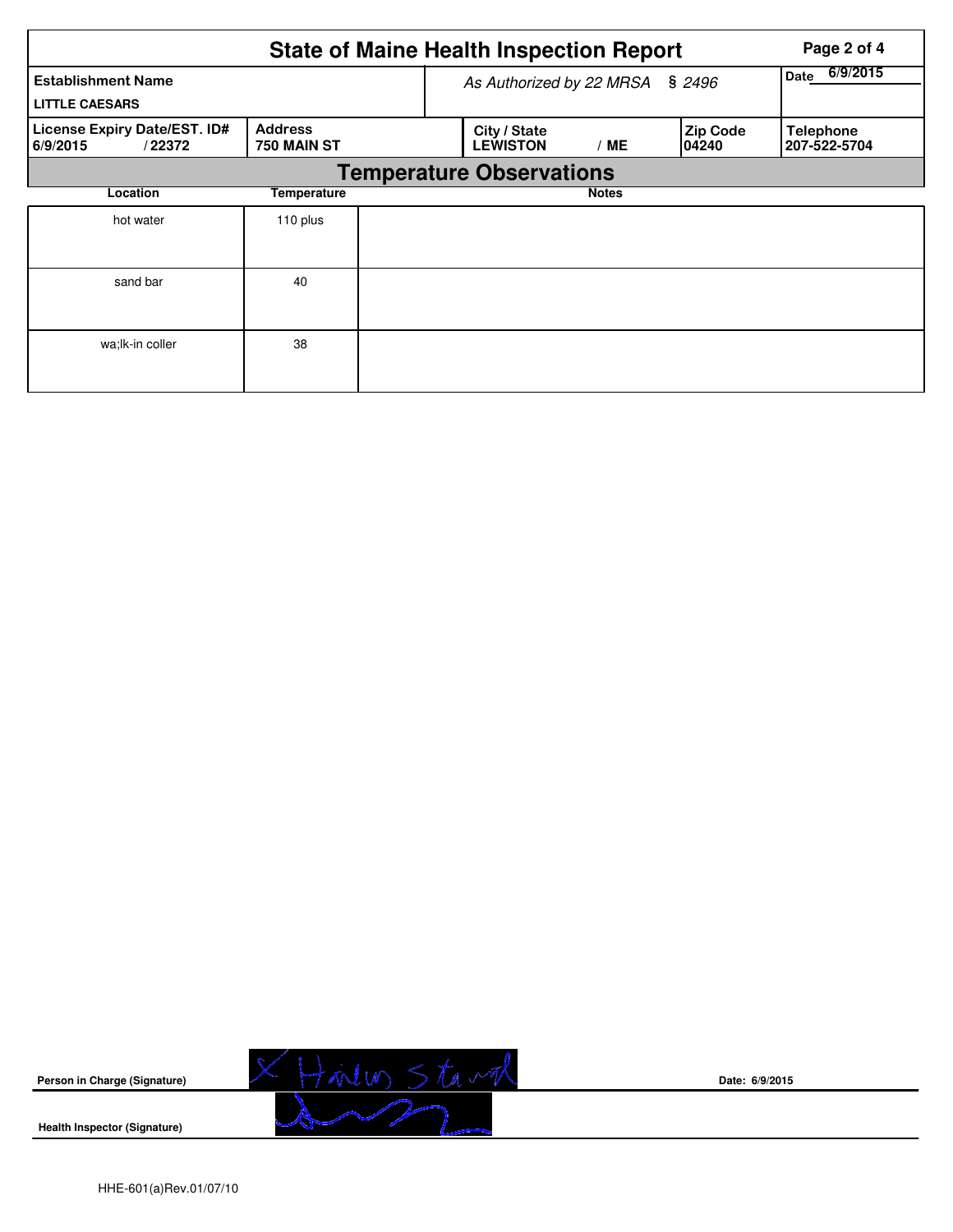|                                                    |                               | <b>State of Maine Health Inspection Report</b> |                                 | Page 2 of 4      |                           |                                  |
|----------------------------------------------------|-------------------------------|------------------------------------------------|---------------------------------|------------------|---------------------------|----------------------------------|
| <b>Establishment Name</b><br><b>LITTLE CAESARS</b> |                               |                                                | As Authorized by 22 MRSA        | 6/9/2015<br>Date |                           |                                  |
| License Expiry Date/EST. ID#<br>6/9/2015<br>/22372 | <b>Address</b><br>750 MAIN ST |                                                | City / State<br><b>LEWISTON</b> | / ME             | <b>Zip Code</b><br>104240 | <b>Telephone</b><br>207-522-5704 |
|                                                    |                               | <b>Temperature Observations</b>                |                                 |                  |                           |                                  |
| Location                                           | Temperature                   |                                                |                                 | <b>Notes</b>     |                           |                                  |
| hot water                                          | 110 plus                      |                                                |                                 |                  |                           |                                  |
| sand bar                                           | 40                            |                                                |                                 |                  |                           |                                  |
| wa; lk-in coller                                   | 38                            |                                                |                                 |                  |                           |                                  |



**Date: 6/9/2015**

**Health Inspector (Signature)**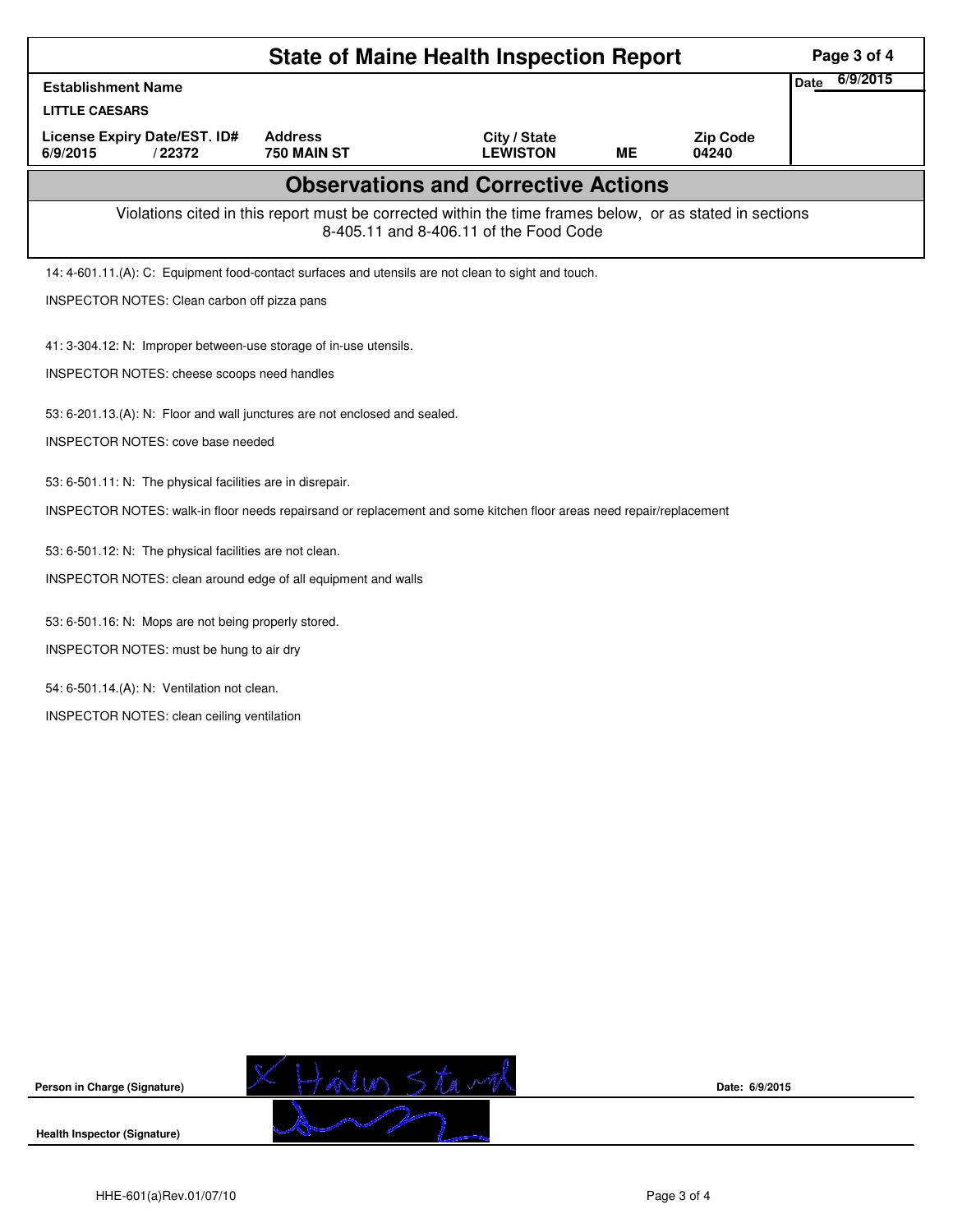|                                                                                                                                                    | Page 3 of 4                                             |                                 |    |                          |                         |  |  |  |
|----------------------------------------------------------------------------------------------------------------------------------------------------|---------------------------------------------------------|---------------------------------|----|--------------------------|-------------------------|--|--|--|
| <b>Establishment Name</b>                                                                                                                          |                                                         |                                 |    |                          | 6/9/2015<br><b>Date</b> |  |  |  |
| <b>LITTLE CAESARS</b>                                                                                                                              |                                                         |                                 |    |                          |                         |  |  |  |
| License Expiry Date/EST. ID#<br>6/9/2015<br>/22372                                                                                                 | <b>Address</b><br>750 MAIN ST                           | City / State<br><b>LEWISTON</b> | ME | <b>Zip Code</b><br>04240 |                         |  |  |  |
| <b>Observations and Corrective Actions</b>                                                                                                         |                                                         |                                 |    |                          |                         |  |  |  |
| Violations cited in this report must be corrected within the time frames below, or as stated in sections<br>8-405.11 and 8-406.11 of the Food Code |                                                         |                                 |    |                          |                         |  |  |  |
| 14: 4-601.11.(A): C: Equipment food-contact surfaces and utensils are not clean to sight and touch.                                                |                                                         |                                 |    |                          |                         |  |  |  |
| INSPECTOR NOTES: Clean carbon off pizza pans                                                                                                       |                                                         |                                 |    |                          |                         |  |  |  |
| 41: 3-304.12: N: Improper between-use storage of in-use utensils.                                                                                  |                                                         |                                 |    |                          |                         |  |  |  |
|                                                                                                                                                    | INSPECTOR NOTES: cheese scoops need handles             |                                 |    |                          |                         |  |  |  |
|                                                                                                                                                    |                                                         |                                 |    |                          |                         |  |  |  |
| 53: 6-201.13.(A): N: Floor and wall junctures are not enclosed and sealed.                                                                         |                                                         |                                 |    |                          |                         |  |  |  |
|                                                                                                                                                    | <b>INSPECTOR NOTES: cove base needed</b>                |                                 |    |                          |                         |  |  |  |
| 53: 6-501.11: N: The physical facilities are in disrepair.                                                                                         |                                                         |                                 |    |                          |                         |  |  |  |
| INSPECTOR NOTES: walk-in floor needs repairsand or replacement and some kitchen floor areas need repair/replacement                                |                                                         |                                 |    |                          |                         |  |  |  |
|                                                                                                                                                    | 53: 6-501.12: N: The physical facilities are not clean. |                                 |    |                          |                         |  |  |  |
| INSPECTOR NOTES: clean around edge of all equipment and walls                                                                                      |                                                         |                                 |    |                          |                         |  |  |  |
|                                                                                                                                                    |                                                         |                                 |    |                          |                         |  |  |  |
| 53: 6-501.16: N: Mops are not being properly stored.                                                                                               |                                                         |                                 |    |                          |                         |  |  |  |
| INSPECTOR NOTES: must be hung to air dry                                                                                                           |                                                         |                                 |    |                          |                         |  |  |  |
| 54: 6-501.14.(A): N: Ventilation not clean.                                                                                                        |                                                         |                                 |    |                          |                         |  |  |  |
| INSPECTOR NOTES: clean ceiling ventilation                                                                                                         |                                                         |                                 |    |                          |                         |  |  |  |
|                                                                                                                                                    |                                                         |                                 |    |                          |                         |  |  |  |



**Date: 6/9/2015**